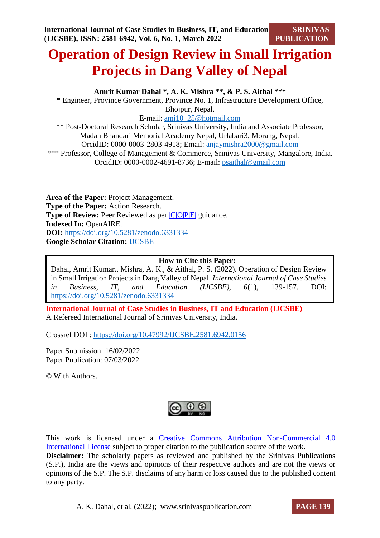# **Operation of Design Review in Small Irrigation Projects in Dang Valley of Nepal**

**Amrit Kumar Dahal \*, A. K. Mishra \*\*, & P. S. Aithal \*\*\***

\* Engineer, Province Government, Province No. 1, Infrastructure Development Office, Bhojpur, Nepal.

E-mail: [ami10\\_25@hotmail.com](mailto:ami10_25@hotmail.com)

\*\* Post-Doctoral Research Scholar, Srinivas University, India and Associate Professor, Madan Bhandari Memorial Academy Nepal, Urlabari3, Morang, Nepal. OrcidID: 0000-0003-2803-4918; Email: [anjaymishra2000@gmail.com](mailto:anjaymishra2000@gmail.com)

\*\*\* Professor, College of Management & Commerce, Srinivas University, Mangalore, India. OrcidID: 0000-0002-4691-8736; E-mail: [psaithal@gmail.com](mailto:psaithal@gmail.com)

**Area of the Paper:** Project Management. **Type of the Paper:** Action Research. **Type of Review:** Peer Reviewed as per  $|C|O||P|E|$  guidance. **Indexed In:** OpenAIRE. **DOI:** <https://doi.org/10.5281/zenodo.6331334> **Google Scholar Citation:** [IJCSBE](https://scholar.google.com/citations?user=yGYPA1MAAAAJ)

# **How to Cite this Paper:**

Dahal, Amrit Kumar., Mishra, A. K., & Aithal, P. S. (2022). Operation of Design Review in Small Irrigation Projects in Dang Valley of Nepal. *International Journal of Case Studies in Business, IT, and Education (IJCSBE), 6*(1), 139-157. DOI: <https://doi.org/10.5281/zenodo.6331334>

**International Journal of Case Studies in Business, IT and Education (IJCSBE)** A Refereed International Journal of Srinivas University, India.

Crossref DOI : [https://doi.org/10.47992/IJCSBE.2581.6942.0156](https://search.crossref.org/?q=10.47992%2FIJCSBE.2581.6942.0156&from_ui=yes)

Paper Submission: 16/02/2022 Paper Publication: 07/03/2022

© With Authors.



This work is licensed under a Creative Commons Attribution Non-Commercial 4.0 International License subject to proper citation to the publication source of the work. **Disclaimer:** The scholarly papers as reviewed and published by the Srinivas Publications (S.P.), India are the views and opinions of their respective authors and are not the views or opinions of the S.P. The S.P. disclaims of any harm or loss caused due to the published content to any party.

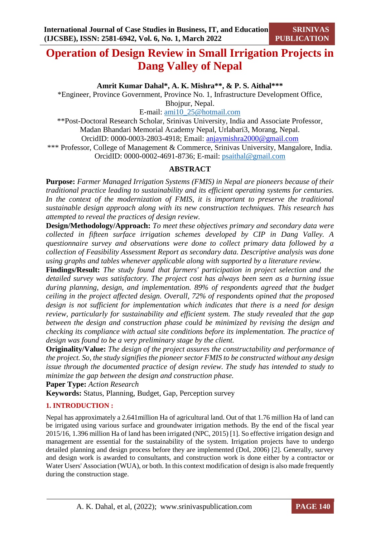# **Operation of Design Review in Small Irrigation Projects in Dang Valley of Nepal**

**Amrit Kumar Dahal\*, A. K. Mishra\*\*, & P. S. Aithal\*\*\***

\*Engineer, Province Government, Province No. 1, Infrastructure Development Office, Bhojpur, Nepal.

E-mail: [ami10\\_25@hotmail.com](mailto:ami10_25@hotmail.com)

\*\*Post-Doctoral Research Scholar, Srinivas University, India and Associate Professor, Madan Bhandari Memorial Academy Nepal, Urlabari3, Morang, Nepal. OrcidID: 0000-0003-2803-4918; Email: [anjaymishra2000@gmail.com](mailto:anjaymishra2000@gmail.com) \*\*\* Professor, College of Management & Commerce, Srinivas University, Mangalore, India. OrcidID: 0000-0002-4691-8736; E-mail: [psaithal@gmail.com](mailto:psaithal@gmail.com)

# **ABSTRACT**

**Purpose:** *Farmer Managed Irrigation Systems (FMIS) in Nepal are pioneers because of their traditional practice leading to sustainability and its efficient operating systems for centuries. In the context of the modernization of FMIS, it is important to preserve the traditional sustainable design approach along with its new construction techniques. This research has attempted to reveal the practices of design review.*

**Design/Methodology/Approach:** *To meet these objectives primary and secondary data were collected in fifteen surface irrigation schemes developed by CIP in Dang Valley. A questionnaire survey and observations were done to collect primary data followed by a collection of Feasibility Assessment Report as secondary data. Descriptive analysis was done using graphs and tables whenever applicable along with supported by a literature review.* 

**Findings/Result:** *The study found that farmers' participation in project selection and the detailed survey was satisfactory. The project cost has always been seen as a burning issue during planning, design, and implementation. 89% of respondents agreed that the budget ceiling in the project affected design. Overall, 72% of respondents opined that the proposed design is not sufficient for implementation which indicates that there is a need for design review, particularly for sustainability and efficient system. The study revealed that the gap between the design and construction phase could be minimized by revising the design and checking its compliance with actual site conditions before its implementation. The practice of design was found to be a very preliminary stage by the client.* 

**Originality/Value:** *The design of the project assures the constructability and performance of the project. So, the study signifies the pioneer sector FMIS to be constructed without any design issue through the documented practice of design review. The study has intended to study to minimize the gap between the design and construction phase.*

**Paper Type:** *Action Research* 

**Keywords:** Status, Planning, Budget, Gap, Perception survey

# **1. INTRODUCTION :**

Nepal has approximately a 2.641million Ha of agricultural land. Out of that 1.76 million Ha of land can be irrigated using various surface and groundwater irrigation methods. By the end of the fiscal year 2015/16, 1.396 million Ha of land has been irrigated (NPC, 2015) [1]. So effective irrigation design and management are essential for the sustainability of the system. Irrigation projects have to undergo detailed planning and design process before they are implemented (DoI, 2006) [2]. Generally, survey and design work is awarded to consultants, and construction work is done either by a contractor or Water Users' Association (WUA), or both. In this context modification of design is also made frequently during the construction stage.

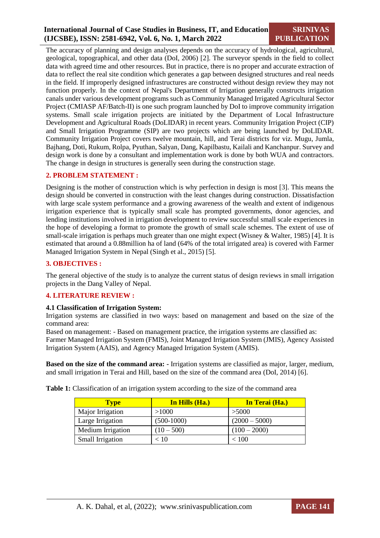# **International Journal of Case Studies in Business, IT, and Education (IJCSBE), ISSN: 2581-6942, Vol. 6, No. 1, March 2022**

The accuracy of planning and design analyses depends on the accuracy of hydrological, agricultural, geological, topographical, and other data (DoI, 2006) [2]. The surveyor spends in the field to collect data with agreed time and other resources. But in practice, there is no proper and accurate extraction of data to reflect the real site condition which generates a gap between designed structures and real needs in the field. If improperly designed infrastructures are constructed without design review they may not function properly. In the context of Nepal's Department of Irrigation generally constructs irrigation canals under various development programs such as Community Managed Irrigated Agricultural Sector Project (CMIASP AF/Batch-II) is one such program launched by DoI to improve community irrigation systems. Small scale irrigation projects are initiated by the Department of Local Infrastructure Development and Agricultural Roads (DoLIDAR) in recent years. Community Irrigation Project (CIP) and Small Irrigation Programme (SIP) are two projects which are being launched by DoLIDAR. Community Irrigation Project covers twelve mountain, hill, and Terai districts for viz. Mugu, Jumla, Bajhang, Doti, Rukum, Rolpa, Pyuthan, Salyan, Dang, Kapilbastu, Kailali and Kanchanpur. Survey and design work is done by a consultant and implementation work is done by both WUA and contractors. The change in design in structures is generally seen during the construction stage.

# **2. PROBLEM STATEMENT :**

Designing is the mother of construction which is why perfection in design is most [3]. This means the design should be converted in construction with the least changes during construction. Dissatisfaction with large scale system performance and a growing awareness of the wealth and extent of indigenous irrigation experience that is typically small scale has prompted governments, donor agencies, and lending institutions involved in irrigation development to review successful small scale experiences in the hope of developing a format to promote the growth of small scale schemes. The extent of use of small-scale irrigation is perhaps much greater than one might expect (Wisney & Walter, 1985) [4]. It is estimated that around a 0.88million ha of land (64% of the total irrigated area) is covered with Farmer Managed Irrigation System in Nepal (Singh et al., 2015) [5].

# **3. OBJECTIVES :**

The general objective of the study is to analyze the current status of design reviews in small irrigation projects in the Dang Valley of Nepal.

# **4. LITERATURE REVIEW :**

# **4.1 Classification of Irrigation System:**

Irrigation systems are classified in two ways: based on management and based on the size of the command area:

Based on management: - Based on management practice, the irrigation systems are classified as: Farmer Managed Irrigation System (FMIS), Joint Managed Irrigation System (JMIS), Agency Assisted Irrigation System (AAIS), and Agency Managed Irrigation System (AMIS).

**Based on the size of the command area: -** Irrigation systems are classified as major, larger, medium, and small irrigation in Terai and Hill, based on the size of the command area (DoI, 2014) [6].

**Table 1:** Classification of an irrigation system according to the size of the command area

| <b>Type</b>       | In Hills (Ha.) | In Terai (Ha.)  |  |  |
|-------------------|----------------|-----------------|--|--|
| Major Irrigation  | >1000          | >5000           |  |  |
| Large Irrigation  | $(500-1000)$   | $(2000 - 5000)$ |  |  |
| Medium Irrigation | $(10 - 500)$   | $(100 - 2000)$  |  |  |
| Small Irrigation  | < 10           | < 100           |  |  |

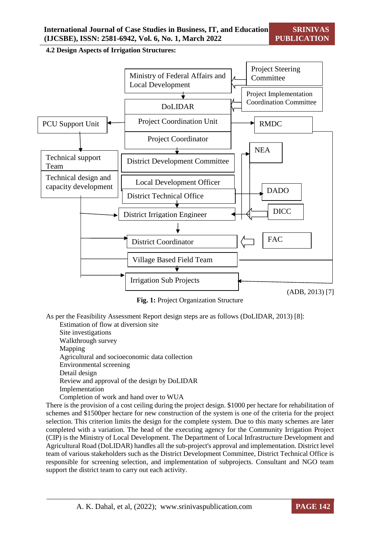**4.2 Design Aspects of Irrigation Structures:**



**Fig. 1:** Project Organization Structure

(ADB, 2013) [7]

As per the Feasibility Assessment Report design steps are as follows (DoLIDAR, 2013) [8]:

Estimation of flow at diversion site Site investigations Walkthrough survey Mapping Agricultural and socioeconomic data collection Environmental screening Detail design Review and approval of the design by DoLIDAR Implementation

Completion of work and hand over to WUA

There is the provision of a cost ceiling during the project design. \$1000 per hectare for rehabilitation of schemes and \$1500per hectare for new construction of the system is one of the criteria for the project selection. This criterion limits the design for the complete system. Due to this many schemes are later completed with a variation. The head of the executing agency for the Community Irrigation Project (CIP) is the Ministry of Local Development. The Department of Local Infrastructure Development and Agricultural Road (DoLIDAR) handles all the sub-project's approval and implementation. District level team of various stakeholders such as the District Development Committee, District Technical Office is responsible for screening selection, and implementation of subprojects. Consultant and NGO team support the district team to carry out each activity.

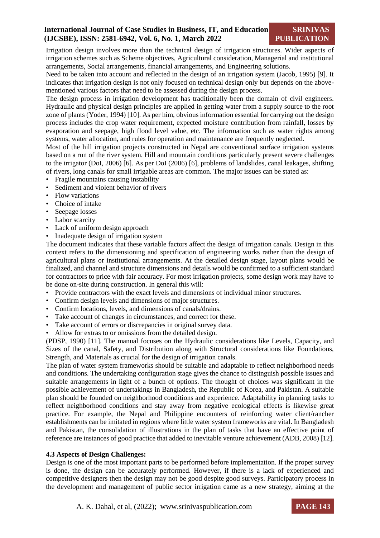Irrigation design involves more than the technical design of irrigation structures. Wider aspects of irrigation schemes such as Scheme objectives, Agricultural consideration, Managerial and institutional arrangements, Social arrangements, financial arrangements, and Engineering solutions.

Need to be taken into account and reflected in the design of an irrigation system (Jacob, 1995) [9]. It indicates that irrigation design is not only focused on technical design only but depends on the abovementioned various factors that need to be assessed during the design process.

The design process in irrigation development has traditionally been the domain of civil engineers. Hydraulic and physical design principles are applied in getting water from a supply source to the root zone of plants (Yoder, 1994) [10]. As per him, obvious information essential for carrying out the design process includes the crop water requirement, expected moisture contribution from rainfall, losses by evaporation and seepage, high flood level value, etc. The information such as water rights among systems, water allocation, and rules for operation and maintenance are frequently neglected.

Most of the hill irrigation projects constructed in Nepal are conventional surface irrigation systems based on a run of the river system. Hill and mountain conditions particularly present severe challenges to the irrigator (DoI, 2006) [6]. As per DoI (2006) [6], problems of landslides, canal leakages, shifting of rivers, long canals for small irrigable areas are common. The major issues can be stated as:

- Fragile mountains causing instability
- Sediment and violent behavior of rivers
- Flow variations
- Choice of intake
- Seepage losses
- Labor scarcity
- Lack of uniform design approach
- Inadequate design of irrigation system

The document indicates that these variable factors affect the design of irrigation canals. Design in this context refers to the dimensioning and specification of engineering works rather than the design of agricultural plans or institutional arrangements. At the detailed design stage, layout plans would be finalized, and channel and structure dimensions and details would be confirmed to a sufficient standard for contractors to price with fair accuracy. For most irrigation projects, some design work may have to be done on-site during construction. In general this will:

- Provide contractors with the exact levels and dimensions of individual minor structures.
- Confirm design levels and dimensions of major structures.
- Confirm locations, levels, and dimensions of canals/drains.
- Take account of changes in circumstances, and correct for these.
- Take account of errors or discrepancies in original survey data.
- Allow for extras to or omissions from the detailed design.

(PDSP, 1990) [11]. The manual focuses on the Hydraulic considerations like Levels, Capacity, and Sizes of the canal, Safety, and Distribution along with Structural considerations like Foundations, Strength, and Materials as crucial for the design of irrigation canals.

The plan of water system frameworks should be suitable and adaptable to reflect neighborhood needs and conditions. The undertaking configuration stage gives the chance to distinguish possible issues and suitable arrangements in light of a bunch of options. The thought of choices was significant in the possible achievement of undertakings in Bangladesh, the Republic of Korea, and Pakistan. A suitable plan should be founded on neighborhood conditions and experience. Adaptability in planning tasks to reflect neighborhood conditions and stay away from negative ecological effects is likewise great practice. For example, the Nepal and Philippine encounters of reinforcing water client/rancher establishments can be imitated in regions where little water system frameworks are vital. In Bangladesh and Pakistan, the consolidation of illustrations in the plan of tasks that have an effective point of reference are instances of good practice that added to inevitable venture achievement (ADB, 2008) [12].

# **4.3 Aspects of Design Challenges:**

Design is one of the most important parts to be performed before implementation. If the proper survey is done, the design can be accurately performed. However, if there is a lack of experienced and competitive designers then the design may not be good despite good surveys. Participatory process in the development and management of public sector irrigation came as a new strategy, aiming at the

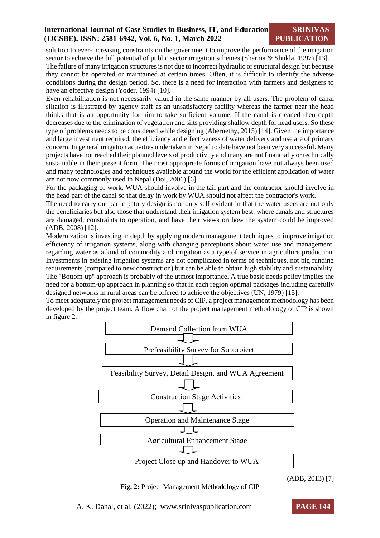solution to ever-increasing constraints on the government to improve the performance of the irrigation sector to achieve the full potential of public sector irrigation schemes (Sharma & Shukla, 1997) [13].

The failure of many irrigation structures is not due to incorrect hydraulic or structural design but because they cannot be operated or maintained at certain times. Often, it is difficult to identify the adverse conditions during the design period. So, there is a need for interaction with farmers and designers to have an effective design (Yoder, 1994) [10].

Even rehabilitation is not necessarily valued in the same manner by all users. The problem of canal siltation is illustrated by agency staff as an unsatisfactory facility whereas the farmer near the head thinks that is an opportunity for him to take sufficient volume. If the canal is cleaned then depth decreases due to the elimination of vegetation and silts providing shallow depth for head users. So these type of problems needs to be considered while designing (Abernethy, 2015) [14]. Given the importance and large investment required, the efficiency and effectiveness of water delivery and use are of primary concern. In general irrigation activities undertaken in Nepal to date have not been very successful. Many projects have not reached their planned levels of productivity and many are not financially or technically sustainable in their present form. The most appropriate forms of irrigation have not always been used and many technologies and techniques available around the world for the efficient application of water are not now commonly used in Nepal (DoI, 2006) [6].

For the packaging of work, WUA should involve in the tail part and the contractor should involve in the head part of the canal so that delay in work by WUA should not affect the contractor's work.

The need to carry out participatory design is not only self-evident in that the water users are not only the beneficiaries but also those that understand their irrigation system best: where canals and structures are damaged, constraints to operation, and have their views on how the system could be improved (ADB, 2008) [12].

Modernization is investing in depth by applying modern management techniques to improve irrigation efficiency of irrigation systems, along with changing perceptions about water use and management, regarding water as a kind of commodity and irrigation as a type of service in agriculture production. Investments in existing irrigation systems are not complicated in terms of techniques, not big funding requirements (compared to new construction) but can be able to obtain high stability and sustainability. The "Bottom-up" approach is probably of the utmost importance. A true basic needs policy implies the need for a bottom-up approach in planning so that in each region optimal packages including carefully designed networks in rural areas can be offered to achieve the objectives (UN, 1979) [15].

To meet adequately the project management needs of CIP, a project management methodology has been developed by the project team. A flow chart of the project management methodology of CIP is shown in figure 2.



(ADB, 2013) [7]

**Fig. 2:** Project Management Methodology of CIP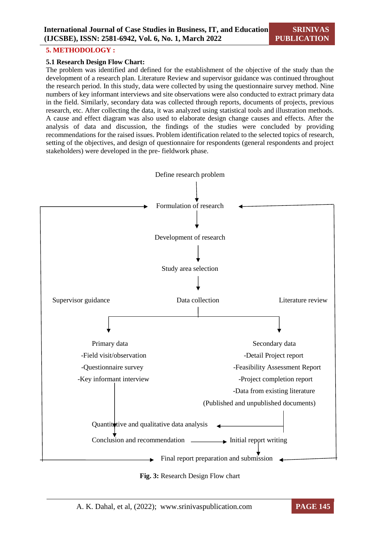#### **5. METHODOLOGY :**

#### **5.1 Research Design Flow Chart:**

The problem was identified and defined for the establishment of the objective of the study than the development of a research plan. Literature Review and supervisor guidance was continued throughout the research period. In this study, data were collected by using the questionnaire survey method. Nine numbers of key informant interviews and site observations were also conducted to extract primary data in the field. Similarly, secondary data was collected through reports, documents of projects, previous research, etc. After collecting the data, it was analyzed using statistical tools and illustration methods. A cause and effect diagram was also used to elaborate design change causes and effects. After the analysis of data and discussion, the findings of the studies were concluded by providing recommendations for the raised issues. Problem identification related to the selected topics of research, setting of the objectives, and design of questionnaire for respondents (general respondents and project stakeholders) were developed in the pre- fieldwork phase.





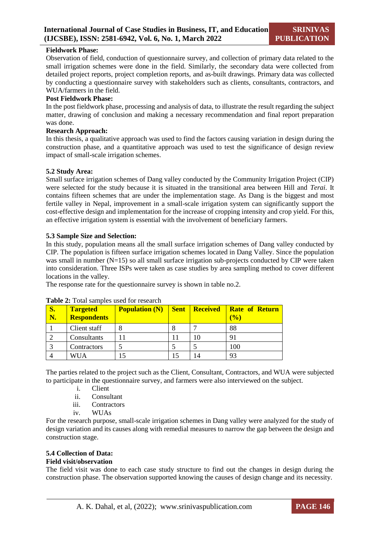# **Fieldwork Phase:**

Observation of field, conduction of questionnaire survey, and collection of primary data related to the small irrigation schemes were done in the field. Similarly, the secondary data were collected from detailed project reports, project completion reports, and as-built drawings. Primary data was collected by conducting a questionnaire survey with stakeholders such as clients, consultants, contractors, and WUA/farmers in the field.

#### **Post Fieldwork Phase:**

In the post fieldwork phase, processing and analysis of data, to illustrate the result regarding the subject matter, drawing of conclusion and making a necessary recommendation and final report preparation was done.

#### **Research Approach:**

In this thesis, a qualitative approach was used to find the factors causing variation in design during the construction phase, and a quantitative approach was used to test the significance of design review impact of small-scale irrigation schemes.

#### **5.2 Study Area:**

Small surface irrigation schemes of Dang valley conducted by the Community Irrigation Project (CIP) were selected for the study because it is situated in the transitional area between Hill and *Terai.* It contains fifteen schemes that are under the implementation stage. As Dang is the biggest and most fertile valley in Nepal, improvement in a small-scale irrigation system can significantly support the cost-effective design and implementation for the increase of cropping intensity and crop yield. For this, an effective irrigation system is essential with the involvement of beneficiary farmers.

# **5.3 Sample Size and Selection:**

In this study, population means all the small surface irrigation schemes of Dang valley conducted by CIP. The population is fifteen surface irrigation schemes located in Dang Valley. Since the population was small in number (N=15) so all small surface irrigation sub-projects conducted by CIP were taken into consideration. Three ISPs were taken as case studies by area sampling method to cover different locations in the valley.

The response rate for the questionnaire survey is shown in table no.2.

| <b>S.</b><br>N. | <b>Targeted</b><br><b>Respondents</b> | <b>Population (N)</b> | <b>Sent</b> | <b>Received</b> | <b>Rate of Return</b><br>(9/0) |
|-----------------|---------------------------------------|-----------------------|-------------|-----------------|--------------------------------|
|                 | Client staff                          |                       | 8           |                 | 88                             |
|                 | Consultants                           |                       | П           | 10              | 91                             |
|                 | Contractors                           |                       |             |                 | 100                            |
|                 | WUA                                   |                       |             | 4               | 93                             |

#### **Table 2:** Total samples used for research

The parties related to the project such as the Client, Consultant, Contractors, and WUA were subjected to participate in the questionnaire survey, and farmers were also interviewed on the subject.

- i. Client
- ii. Consultant
- iii. Contractors
- iv. WUAs

For the research purpose, small-scale irrigation schemes in Dang valley were analyzed for the study of design variation and its causes along with remedial measures to narrow the gap between the design and construction stage.

# **5.4 Collection of Data:**

# **Field visit/observation**

The field visit was done to each case study structure to find out the changes in design during the construction phase. The observation supported knowing the causes of design change and its necessity.

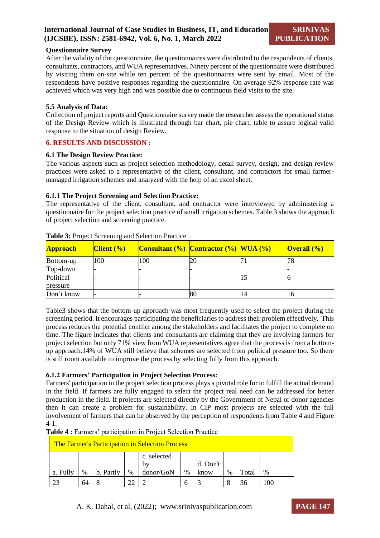# **Questionnaire Survey**

After the validity of the questionnaire, the questionnaires were distributed to the respondents of clients, consultants, contractors, and WUA representatives. Ninety percent of the questionnaire were distributed by visiting them on-site while ten percent of the questionnaires were sent by email. Most of the respondents have positive responses regarding the questionnaire. On average 92% response rate was achieved which was very high and was possible due to continuous field visits to the site.

#### **5.5 Analysis of Data:**

Collection of project reports and Questionnaire survey made the researcher assess the operational status of the Design Review which is illustrated through bar chart, pie chart, table to assure logical valid response to the situation of design Review.

#### **6. RESULTS AND DISCUSSION :**

#### **6.1 The Design Review Practice:**

The various aspects such as project selection methodology, detail survey, design, and design review practices were asked to a representative of the client, consultant, and contractors for small farmermanaged irrigation schemes and analyzed with the help of an excel sheet.

#### **6.1.1 The Project Screening and Selection Practice:**

The representative of the client, consultant, and contractor were interviewed by administering a questionnaire for the project selection practice of small irrigation schemes. Table 3 shows the approach of project selection and screening practice.

| <b>Approach</b>       | $C$ lient $(\%)$ |     | <b>Consultant</b> $\left(\frac{\%}{\%}\right)$ Contractor $\left(\frac{\%}{\%}\right)$ WUA $\left(\frac{\%}{\%}\right)$ | Overal ( <sub>9</sub> ) |
|-----------------------|------------------|-----|-------------------------------------------------------------------------------------------------------------------------|-------------------------|
| Bottom-up             | 100              | 100 | 20                                                                                                                      |                         |
| Top-down              |                  |     |                                                                                                                         |                         |
| Political<br>pressure |                  |     |                                                                                                                         |                         |
| Don't know            |                  |     | 80                                                                                                                      | 16                      |

#### **Table 3:** Project Screening and Selection Practice

Table3 shows that the bottom-up approach was most frequently used to select the project during the screening period. It encourages participating the beneficiaries to address their problem effectively. This process reduces the potential conflict among the stakeholders and facilitates the project to complete on time. The figure indicates that clients and consultants are claiming that they are involving farmers for project selection but only 71% view from WUA representatives agree that the process is from a bottomup approach.14% of WUA still believe that schemes are selected from political pressure too. So there is still room available to improve the process by selecting fully from this approach.

# **6.1.2 Farmers' Participation in Project Selection Process:**

Farmers' participation in the project selection process plays a pivotal role for to fulfill the actual demand in the field. If farmers are fully engaged to select the project real need can be addressed for better production in the field. If projects are selected directly by the Government of Nepal or donor agencies then it can create a problem for sustainability. In CIP most projects are selected with the full involvement of farmers that can be observed by the perception of respondents from Table 4 and Figure 4-1.

**Table 4 :** Farmers' participation in Project Selection Practice

| <b>The Farmer's Participation in Selection Process</b>                                                                          |  |  |  |  |  |  |  |  |  |
|---------------------------------------------------------------------------------------------------------------------------------|--|--|--|--|--|--|--|--|--|
| c. selected<br>d. Don't<br>b١<br>donor/GoN<br>%<br>$\%$<br>Total<br>%<br>b. Partly<br>$\frac{0}{0}$<br>$\%$<br>a. Fully<br>know |  |  |  |  |  |  |  |  |  |
|                                                                                                                                 |  |  |  |  |  |  |  |  |  |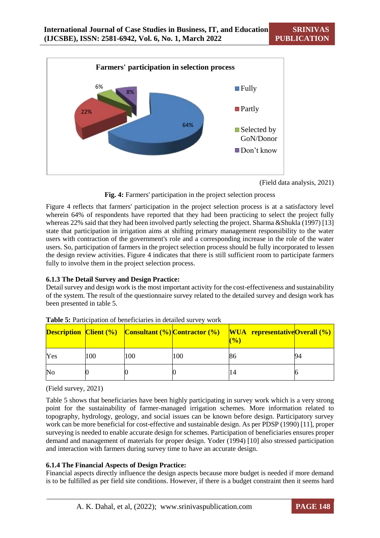

(Field data analysis, 2021)

**Fig. 4:** Farmers' participation in the project selection process

Figure 4 reflects that farmers' participation in the project selection process is at a satisfactory level wherein 64% of respondents have reported that they had been practicing to select the project fully whereas 22% said that they had been involved partly selecting the project. Sharma &Shukla (1997) [13] state that participation in irrigation aims at shifting primary management responsibility to the water users with contraction of the government's role and a corresponding increase in the role of the water users. So, participation of farmers in the project selection process should be fully incorporated to lessen the design review activities. Figure 4 indicates that there is still sufficient room to participate farmers fully to involve them in the project selection process.

# **6.1.3 The Detail Survey and Design Practice:**

Detail survey and design work is the most important activity for the cost-effectiveness and sustainability of the system. The result of the questionnaire survey related to the detailed survey and design work has been presented in table 5.

|     |     |     |     | <b>Description Client (%)</b> Consultant (%) Contractor (%) WUA representative Overall (%)<br>(% |  |
|-----|-----|-----|-----|--------------------------------------------------------------------------------------------------|--|
| Yes | 100 | 100 | 100 | 86                                                                                               |  |
| No  |     |     |     | 14                                                                                               |  |

**Table 5:** Participation of beneficiaries in detailed survey work

(Field survey, 2021)

Table 5 shows that beneficiaries have been highly participating in survey work which is a very strong point for the sustainability of farmer-managed irrigation schemes. More information related to topography, hydrology, geology, and social issues can be known before design. Participatory survey work can be more beneficial for cost-effective and sustainable design. As per PDSP (1990) [11], proper surveying is needed to enable accurate design for schemes. Participation of beneficiaries ensures proper demand and management of materials for proper design. Yoder (1994) [10] also stressed participation and interaction with farmers during survey time to have an accurate design.

# **6.1.4 The Financial Aspects of Design Practice:**

Financial aspects directly influence the design aspects because more budget is needed if more demand is to be fulfilled as per field site conditions. However, if there is a budget constraint then it seems hard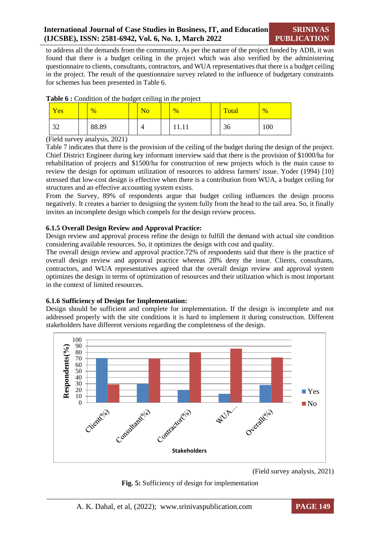to address all the demands from the community. As per the nature of the project funded by ADB, it was found that there is a budget ceiling in the project which was also verified by the administering questionnaire to clients, consultants, contractors, and WUA representatives that there is a budget ceiling in the project. The result of the questionnaire survey related to the influence of budgetary constraints for schemes has been presented in Table 6.

| Yes            | $\frac{0}{2}$ | $\overline{\text{No}}$ | $\frac{9}{6}$ | Total | $\frac{9}{6}$ |
|----------------|---------------|------------------------|---------------|-------|---------------|
| $\Omega$<br>ىر | 88.89         |                        | 11. I T       | 36    | 100           |

**Table 6 :** Condition of the budget ceiling in the project

(Field survey analysis, 2021)

Table 7 indicates that there is the provision of the ceiling of the budget during the design of the project. Chief District Engineer during key informant interview said that there is the provision of \$1000/ha for rehabilitation of projects and \$1500/ha for construction of new projects which is the main cause to review the design for optimum utilization of resources to address farmers' issue. Yoder (1994) [10] stressed that low-cost design is effective when there is a contribution from WUA, a budget ceiling for structures and an effective accounting system exists.

From the Survey, 89% of respondents argue that budget ceiling influences the design process negatively. It creates a barrier to designing the system fully from the head to the tail area. So, it finally invites an incomplete design which compels for the design review process.

# **6.1.5 Overall Design Review and Approval Practice:**

Design review and approval process refine the design to fulfill the demand with actual site condition considering available resources. So, it optimizes the design with cost and quality.

The overall design review and approval practice.72% of respondents said that there is the practice of overall design review and approval practice whereas 28% deny the issue. Clients, consultants, contractors, and WUA representatives agreed that the overall design review and approval system optimizes the design in terms of optimization of resources and their utilization which is most important in the context of limited resources.

# **6.1.6 Sufficiency of Design for Implementation:**

Design should be sufficient and complete for implementation. If the design is incomplete and not addressed properly with the site conditions it is hard to implement it during construction. Different stakeholders have different versions regarding the completeness of the design.



<sup>(</sup>Field survey analysis, 2021)

# **Fig. 5:** Sufficiency of design for implementation

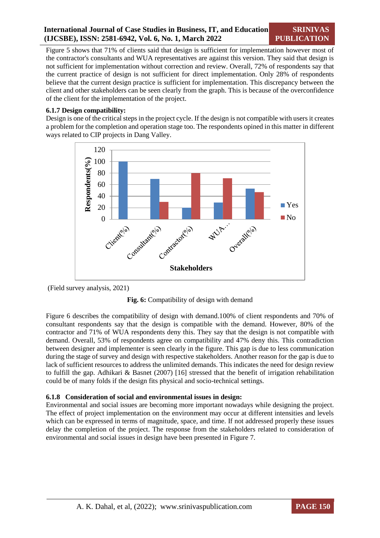**SRINIVAS PUBLICATION**

Figure 5 shows that 71% of clients said that design is sufficient for implementation however most of the contractor's consultants and WUA representatives are against this version. They said that design is not sufficient for implementation without correction and review. Overall, 72% of respondents say that the current practice of design is not sufficient for direct implementation. Only 28% of respondents believe that the current design practice is sufficient for implementation. This discrepancy between the client and other stakeholders can be seen clearly from the graph. This is because of the overconfidence of the client for the implementation of the project.

# **6.1.7 Design compatibility:**

Design is one of the critical steps in the project cycle. If the design is not compatible with users it creates a problem for the completion and operation stage too. The respondents opined in this matter in different ways related to CIP projects in Dang Valley.



(Field survey analysis, 2021)



Figure 6 describes the compatibility of design with demand.100% of client respondents and 70% of consultant respondents say that the design is compatible with the demand. However, 80% of the contractor and 71% of WUA respondents deny this. They say that the design is not compatible with demand. Overall, 53% of respondents agree on compatibility and 47% deny this. This contradiction between designer and implementer is seen clearly in the figure. This gap is due to less communication during the stage of survey and design with respective stakeholders. Another reason for the gap is due to lack of sufficient resources to address the unlimited demands. This indicates the need for design review to fulfill the gap. Adhikari & Basnet (2007) [16] stressed that the benefit of irrigation rehabilitation could be of many folds if the design fits physical and socio-technical settings.

# **6.1.8 Consideration of social and environmental issues in design:**

Environmental and social issues are becoming more important nowadays while designing the project. The effect of project implementation on the environment may occur at different intensities and levels which can be expressed in terms of magnitude, space, and time. If not addressed properly these issues delay the completion of the project. The response from the stakeholders related to consideration of environmental and social issues in design have been presented in Figure 7.

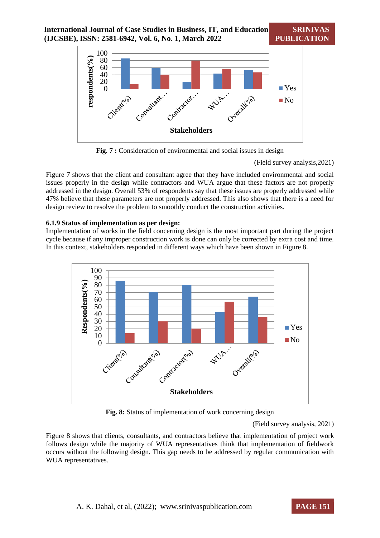**International Journal of Case Studies in Business, IT, and Education (IJCSBE), ISSN: 2581-6942, Vol. 6, No. 1, March 2022**



**Fig. 7 :** Consideration of environmental and social issues in design

(Field survey analysis,2021)

Figure 7 shows that the client and consultant agree that they have included environmental and social issues properly in the design while contractors and WUA argue that these factors are not properly addressed in the design. Overall 53% of respondents say that these issues are properly addressed while 47% believe that these parameters are not properly addressed. This also shows that there is a need for design review to resolve the problem to smoothly conduct the construction activities.

# **6.1.9 Status of implementation as per design:**

Implementation of works in the field concerning design is the most important part during the project cycle because if any improper construction work is done can only be corrected by extra cost and time. In this context, stakeholders responded in different ways which have been shown in Figure 8.



**Fig. 8:** Status of implementation of work concerning design

# (Field survey analysis, 2021)

Figure 8 shows that clients, consultants, and contractors believe that implementation of project work follows design while the majority of WUA representatives think that implementation of fieldwork occurs without the following design. This gap needs to be addressed by regular communication with WUA representatives.

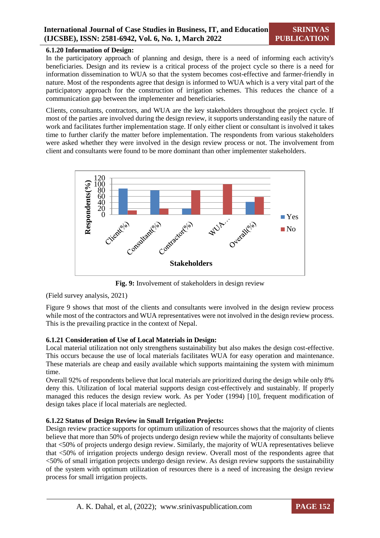# **6.1.20 Information of Design:**

In the participatory approach of planning and design, there is a need of informing each activity's beneficiaries. Design and its review is a critical process of the project cycle so there is a need for information dissemination to WUA so that the system becomes cost-effective and farmer-friendly in nature. Most of the respondents agree that design is informed to WUA which is a very vital part of the participatory approach for the construction of irrigation schemes. This reduces the chance of a communication gap between the implementer and beneficiaries.

Clients, consultants, contractors, and WUA are the key stakeholders throughout the project cycle. If most of the parties are involved during the design review, it supports understanding easily the nature of work and facilitates further implementation stage. If only either client or consultant is involved it takes time to further clarify the matter before implementation. The respondents from various stakeholders were asked whether they were involved in the design review process or not. The involvement from client and consultants were found to be more dominant than other implementer stakeholders.



**Fig. 9:** Involvement of stakeholders in design review

(Field survey analysis, 2021)

Figure 9 shows that most of the clients and consultants were involved in the design review process while most of the contractors and WUA representatives were not involved in the design review process. This is the prevailing practice in the context of Nepal.

# **6.1.21 Consideration of Use of Local Materials in Design:**

Local material utilization not only strengthens sustainability but also makes the design cost-effective. This occurs because the use of local materials facilitates WUA for easy operation and maintenance. These materials are cheap and easily available which supports maintaining the system with minimum time.

Overall 92% of respondents believe that local materials are prioritized during the design while only 8% deny this. Utilization of local material supports design cost-effectively and sustainably. If properly managed this reduces the design review work. As per Yoder (1994) [10], frequent modification of design takes place if local materials are neglected.

# **6.1.22 Status of Design Review in Small Irrigation Projects:**

Design review practice supports for optimum utilization of resources shows that the majority of clients believe that more than 50% of projects undergo design review while the majority of consultants believe that <50% of projects undergo design review. Similarly, the majority of WUA representatives believe that <50% of irrigation projects undergo design review. Overall most of the respondents agree that <50% of small irrigation projects undergo design review. As design review supports the sustainability of the system with optimum utilization of resources there is a need of increasing the design review process for small irrigation projects.

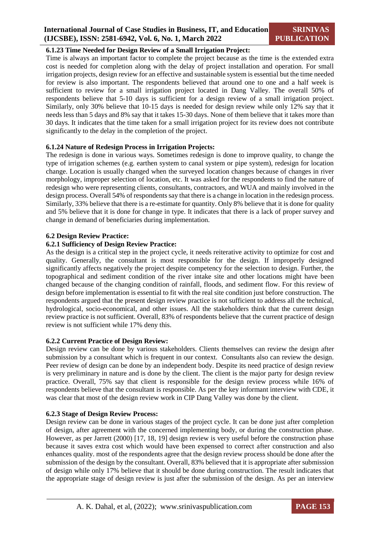# **6.1.23 Time Needed for Design Review of a Small Irrigation Project:**

Time is always an important factor to complete the project because as the time is the extended extra cost is needed for completion along with the delay of project installation and operation. For small irrigation projects, design review for an effective and sustainable system is essential but the time needed for review is also important. The respondents believed that around one to one and a half week is sufficient to review for a small irrigation project located in Dang Valley. The overall 50% of respondents believe that 5-10 days is sufficient for a design review of a small irrigation project. Similarly, only 30% believe that 10-15 days is needed for design review while only 12% say that it needs less than 5 days and 8% say that it takes 15-30 days. None of them believe that it takes more than 30 days. It indicates that the time taken for a small irrigation project for its review does not contribute significantly to the delay in the completion of the project.

# **6.1.24 Nature of Redesign Process in Irrigation Projects:**

The redesign is done in various ways. Sometimes redesign is done to improve quality, to change the type of irrigation schemes (e.g. earthen system to canal system or pipe system), redesign for location change. Location is usually changed when the surveyed location changes because of changes in river morphology, improper selection of location, etc. It was asked for the respondents to find the nature of redesign who were representing clients, consultants, contractors, and WUA and mainly involved in the design process. Overall 54% of respondents say that there is a change in location in the redesign process. Similarly, 33% believe that there is a re-estimate for quantity. Only 8% believe that it is done for quality and 5% believe that it is done for change in type. It indicates that there is a lack of proper survey and change in demand of beneficiaries during implementation.

# **6.2 Design Review Practice:**

#### **6.2.1 Sufficiency of Design Review Practice:**

As the design is a critical step in the project cycle, it needs reiterative activity to optimize for cost and quality. Generally, the consultant is most responsible for the design. If improperly designed significantly affects negatively the project despite competency for the selection to design. Further, the topographical and sediment condition of the river intake site and other locations might have been changed because of the changing condition of rainfall, floods, and sediment flow. For this review of design before implementation is essential to fit with the real site condition just before construction. The respondents argued that the present design review practice is not sufficient to address all the technical, hydrological, socio-economical, and other issues. All the stakeholders think that the current design review practice is not sufficient. Overall, 83% of respondents believe that the current practice of design review is not sufficient while 17% deny this.

# **6.2.2 Current Practice of Design Review:**

Design review can be done by various stakeholders. Clients themselves can review the design after submission by a consultant which is frequent in our context. Consultants also can review the design. Peer review of design can be done by an independent body. Despite its need practice of design review is very preliminary in nature and is done by the client. The client is the major party for design review practice. Overall, 75% say that client is responsible for the design review process while 16% of respondents believe that the consultant is responsible. As per the key informant interview with CDE, it was clear that most of the design review work in CIP Dang Valley was done by the client.

#### **6.2.3 Stage of Design Review Process:**

Design review can be done in various stages of the project cycle. It can be done just after completion of design, after agreement with the concerned implementing body, or during the construction phase. However, as per Jarrett (2000) [17, 18, 19] design review is very useful before the construction phase because it saves extra cost which would have been expensed to correct after construction and also enhances quality. most of the respondents agree that the design review process should be done after the submission of the design by the consultant. Overall, 83% believed that it is appropriate after submission of design while only 17% believe that it should be done during construction. The result indicates that the appropriate stage of design review is just after the submission of the design. As per an interview

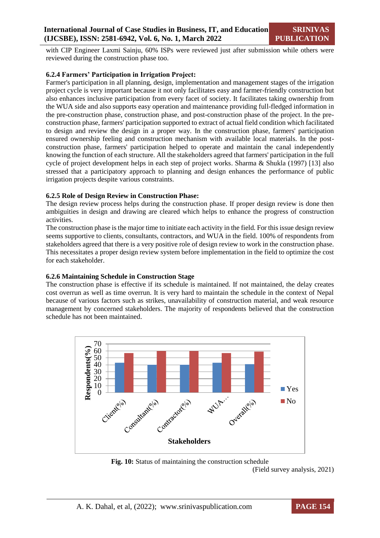with CIP Engineer Laxmi Sainju, 60% ISPs were reviewed just after submission while others were reviewed during the construction phase too.

# **6.2.4 Farmers' Participation in Irrigation Project:**

Farmer's participation in all planning, design, implementation and management stages of the irrigation project cycle is very important because it not only facilitates easy and farmer-friendly construction but also enhances inclusive participation from every facet of society. It facilitates taking ownership from the WUA side and also supports easy operation and maintenance providing full-fledged information in the pre-construction phase, construction phase, and post-construction phase of the project. In the preconstruction phase, farmers' participation supported to extract of actual field condition which facilitated to design and review the design in a proper way. In the construction phase, farmers' participation ensured ownership feeling and construction mechanism with available local materials. In the postconstruction phase, farmers' participation helped to operate and maintain the canal independently knowing the function of each structure. All the stakeholders agreed that farmers' participation in the full cycle of project development helps in each step of project works. Sharma & Shukla (1997) [13] also stressed that a participatory approach to planning and design enhances the performance of public irrigation projects despite various constraints.

# **6.2.5 Role of Design Review in Construction Phase:**

The design review process helps during the construction phase. If proper design review is done then ambiguities in design and drawing are cleared which helps to enhance the progress of construction activities.

The construction phase is the major time to initiate each activity in the field. For this issue design review seems supportive to clients, consultants, contractors, and WUA in the field. 100% of respondents from stakeholders agreed that there is a very positive role of design review to work in the construction phase. This necessitates a proper design review system before implementation in the field to optimize the cost for each stakeholder.

# **6.2.6 Maintaining Schedule in Construction Stage**

The construction phase is effective if its schedule is maintained. If not maintained, the delay creates cost overrun as well as time overrun. It is very hard to maintain the schedule in the context of Nepal because of various factors such as strikes, unavailability of construction material, and weak resource management by concerned stakeholders. The majority of respondents believed that the construction schedule has not been maintained.



**Fig. 10:** Status of maintaining the construction schedule (Field survey analysis, 2021)

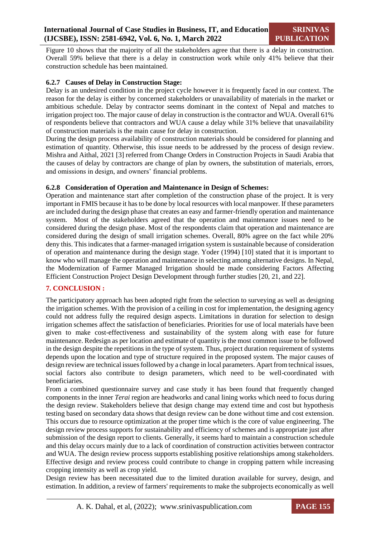Figure 10 shows that the majority of all the stakeholders agree that there is a delay in construction. Overall 59% believe that there is a delay in construction work while only 41% believe that their construction schedule has been maintained.

# **6.2.7 Causes of Delay in Construction Stage:**

Delay is an undesired condition in the project cycle however it is frequently faced in our context. The reason for the delay is either by concerned stakeholders or unavailability of materials in the market or ambitious schedule. Delay by contractor seems dominant in the context of Nepal and matches to irrigation project too. The major cause of delay in construction is the contractor and WUA. Overall 61% of respondents believe that contractors and WUA cause a delay while 31% believe that unavailability of construction materials is the main cause for delay in construction.

During the design process availability of construction materials should be considered for planning and estimation of quantity. Otherwise, this issue needs to be addressed by the process of design review. Mishra and Aithal, 2021 [3] referred from Change Orders in Construction Projects in Saudi Arabia that the causes of delay by contractors are change of plan by owners, the substitution of materials, errors, and omissions in design, and owners' financial problems.

# **6.2.8 Consideration of Operation and Maintenance in Design of Schemes:**

Operation and maintenance start after completion of the construction phase of the project. It is very important in FMIS because it has to be done by local resources with local manpower. If these parameters are included during the design phase that creates an easy and farmer-friendly operation and maintenance system. Most of the stakeholders agreed that the operation and maintenance issues need to be considered during the design phase. Most of the respondents claim that operation and maintenance are considered during the design of small irrigation schemes. Overall, 80% agree on the fact while 20% deny this. This indicates that a farmer-managed irrigation system is sustainable because of consideration of operation and maintenance during the design stage. Yoder (1994) [10] stated that it is important to know who will manage the operation and maintenance in selecting among alternative designs. In Nepal, the Modernization of Farmer Managed Irrigation should be made considering Factors Affecting Efficient Construction Project Design Development through further studies [20, 21, and 22].

# **7. CONCLUSION :**

The participatory approach has been adopted right from the selection to surveying as well as designing the irrigation schemes. With the provision of a ceiling in cost for implementation, the designing agency could not address fully the required design aspects. Limitations in duration for selection to design irrigation schemes affect the satisfaction of beneficiaries. Priorities for use of local materials have been given to make cost-effectiveness and sustainability of the system along with ease for future maintenance. Redesign as per location and estimate of quantity is the most common issue to be followed in the design despite the repetitions in the type of system. Thus, project duration requirement of systems depends upon the location and type of structure required in the proposed system. The major causes of design review are technical issues followed by a change in local parameters. Apart from technical issues, social factors also contribute to design parameters, which need to be well-coordinated with beneficiaries.

From a combined questionnaire survey and case study it has been found that frequently changed components in the inner *Terai* region are headworks and canal lining works which need to focus during the design review. Stakeholders believe that design change may extend time and cost but hypothesis testing based on secondary data shows that design review can be done without time and cost extension. This occurs due to resource optimization at the proper time which is the core of value engineering. The design review process supports for sustainability and efficiency of schemes and is appropriate just after submission of the design report to clients. Generally, it seems hard to maintain a construction schedule and this delay occurs mainly due to a lack of coordination of construction activities between contractor and WUA. The design review process supports establishing positive relationships among stakeholders. Effective design and review process could contribute to change in cropping pattern while increasing cropping intensity as well as crop yield.

Design review has been necessitated due to the limited duration available for survey, design, and estimation. In addition, a review of farmers' requirements to make the subprojects economically as well

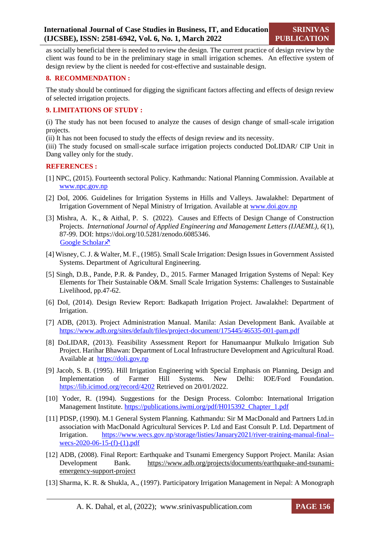as socially beneficial there is needed to review the design. The current practice of design review by the client was found to be in the preliminary stage in small irrigation schemes. An effective system of design review by the client is needed for cost-effective and sustainable design.

# **8. RECOMMENDATION :**

The study should be continued for digging the significant factors affecting and effects of design review of selected irrigation projects.

# **9. LIMITATIONS OF STUDY :**

(i) The study has not been focused to analyze the causes of design change of small-scale irrigation projects.

(ii) It has not been focused to study the effects of design review and its necessity.

(iii) The study focused on small-scale surface irrigation projects conducted DoLIDAR/ CIP Unit in Dang valley only for the study.

# **REFERENCES :**

- [1] NPC, (2015). Fourteenth sectoral Policy. Kathmandu: National Planning Commission. Available at [www.npc.gov.np](http://www.npc.gov.np/)
- [2] DoI, 2006. Guidelines for Irrigation Systems in Hills and Valleys. Jawalakhel: Department of Irrigation Government of Nepal Ministry of Irrigation. Available at [www.doi.gov.np](http://www.doi.gov.np/)
- [3] Mishra, A. K., & Aithal, P. S. (2022). Causes and Effects of Design Change of Construction Projects. *International Journal of Applied Engineering and Management Letters (IJAEML), 6*(1), 87-99. DOI: https://doi.org/10.5281/zenodo.6085346. [Google Scholar](https://srinivaspublication.com/journal/index.php/ijaeml/article/view/1198) ×
- [4] Wisney, C. J. & Walter, M. F., (1985). Small Scale Irrigation: Design Issues in Government Assisted Systems. Department of Agricultural Engineering.
- [5] Singh, D.B., Pande, P.R. & Pandey, D., 2015. Farmer Managed Irrigation Systems of Nepal: Key Elements for Their Sustainable O&M. Small Scale Irrigation Systems: Challenges to Sustainable Livelihood, pp.47-62.
- [6] DoI, (2014). Design Review Report: Badkapath Irrigation Project. Jawalakhel: Department of Irrigation.
- [7] ADB, (2013). Project Administration Manual. Manila: Asian Development Bank. Available at <https://www.adb.org/sites/default/files/project-document/175445/46535-001-pam.pdf>
- [8] DoLIDAR, (2013). Feasibility Assessment Report for Hanumaanpur Mulkulo Irrigation Sub Project. Harihar Bhawan: Department of Local Infrastructure Development and Agricultural Road. Available at [https://doli.gov.np](https://doli.gov.np/)
- [9] Jacob, S. B. (1995). Hill Irrigation Engineering with Special Emphasis on Planning, Design and Implementation of Farmer Hill Systems. New Delhi: IOE/Ford Foundation. <https://lib.icimod.org/record/4202> Retrieved on 20/01/2022.
- [10] Yoder, R. (1994). Suggestions for the Design Process. Colombo: International Irrigation Management Institute. [https://publications.iwmi.org/pdf/H015392\\_Chapter\\_1.pdf](https://publications.iwmi.org/pdf/H015392_Chapter_1.pdf)
- [11] PDSP, (1990). M.1 General System Planning. Kathmandu: Sir M MacDonald and Partners Ltd.in association with MacDonald Agricultural Services P. Ltd and East Consult P. Ltd. Department of Irrigation. [https://www.wecs.gov.np/storage/listies/January2021/river-training-manual-final-](https://www.wecs.gov.np/storage/listies/January2021/river-training-manual-final--wecs-2020-06-15-(f)-(1).pdf) [wecs-2020-06-15-\(f\)-\(1\).pdf](https://www.wecs.gov.np/storage/listies/January2021/river-training-manual-final--wecs-2020-06-15-(f)-(1).pdf)
- [12] ADB, (2008). Final Report: Earthquake and Tsunami Emergency Support Project. Manila: Asian Development Bank. [https://www.adb.org/projects/documents/earthquake-and-tsunami](https://www.adb.org/projects/documents/earthquake-and-tsunami-emergency-support-project)[emergency-support-project](https://www.adb.org/projects/documents/earthquake-and-tsunami-emergency-support-project)
- [13] Sharma, K. R. & Shukla, A., (1997). Participatory Irrigation Management in Nepal: A Monograph